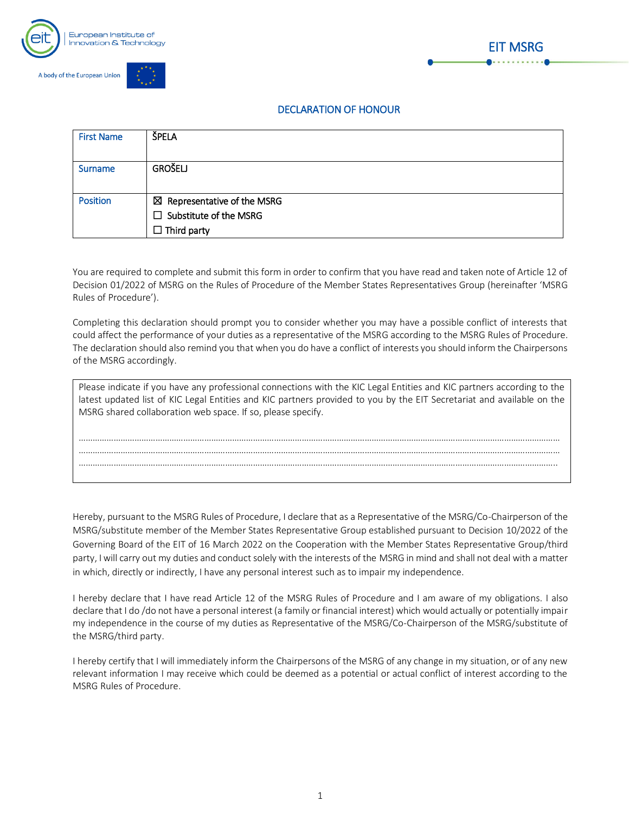



## DECLARATION OF HONOUR

EIT MSRG

| <b>First Name</b> | ŠPELA                                  |
|-------------------|----------------------------------------|
|                   |                                        |
| <b>Surname</b>    | <b>GROŠELJ</b>                         |
|                   |                                        |
| <b>Position</b>   | $\boxtimes$ Representative of the MSRG |
|                   | $\Box$ Substitute of the MSRG          |
|                   | $\Box$ Third party                     |

You are required to complete and submit this form in order to confirm that you have read and taken note of Article 12 of Decision 01/2022 of MSRG on the Rules of Procedure of the Member States Representatives Group (hereinafter 'MSRG Rules of Procedure').

Completing this declaration should prompt you to consider whether you may have a possible conflict of interests that could affect the performance of your duties as a representative of the MSRG according to the MSRG Rules of Procedure. The declaration should also remind you that when you do have a conflict of interests you should inform the Chairpersons of the MSRG accordingly.

| Please indicate if you have any professional connections with the KIC Legal Entities and KIC partners according to the<br>latest updated list of KIC Legal Entities and KIC partners provided to you by the EIT Secretariat and available on the |
|--------------------------------------------------------------------------------------------------------------------------------------------------------------------------------------------------------------------------------------------------|
| MSRG shared collaboration web space. If so, please specify.                                                                                                                                                                                      |
|                                                                                                                                                                                                                                                  |
|                                                                                                                                                                                                                                                  |
|                                                                                                                                                                                                                                                  |
|                                                                                                                                                                                                                                                  |

Hereby, pursuant to the MSRG Rules of Procedure, I declare that as a Representative of the MSRG/Co-Chairperson of the MSRG/substitute member of the Member States Representative Group established pursuant to Decision 10/2022 of the Governing Board of the EIT of 16 March 2022 on the Cooperation with the Member States Representative Group/third party, I will carry out my duties and conduct solely with the interests of the MSRG in mind and shall not deal with a matter in which, directly or indirectly, I have any personal interest such as to impair my independence.

I hereby declare that I have read Article 12 of the MSRG Rules of Procedure and I am aware of my obligations. I also declare that I do /do not have a personal interest (a family or financial interest) which would actually or potentially impair my independence in the course of my duties as Representative of the MSRG/Co-Chairperson of the MSRG/substitute of the MSRG/third party.

I hereby certify that I will immediately inform the Chairpersons of the MSRG of any change in my situation, or of any new relevant information I may receive which could be deemed as a potential or actual conflict of interest according to the MSRG Rules of Procedure.